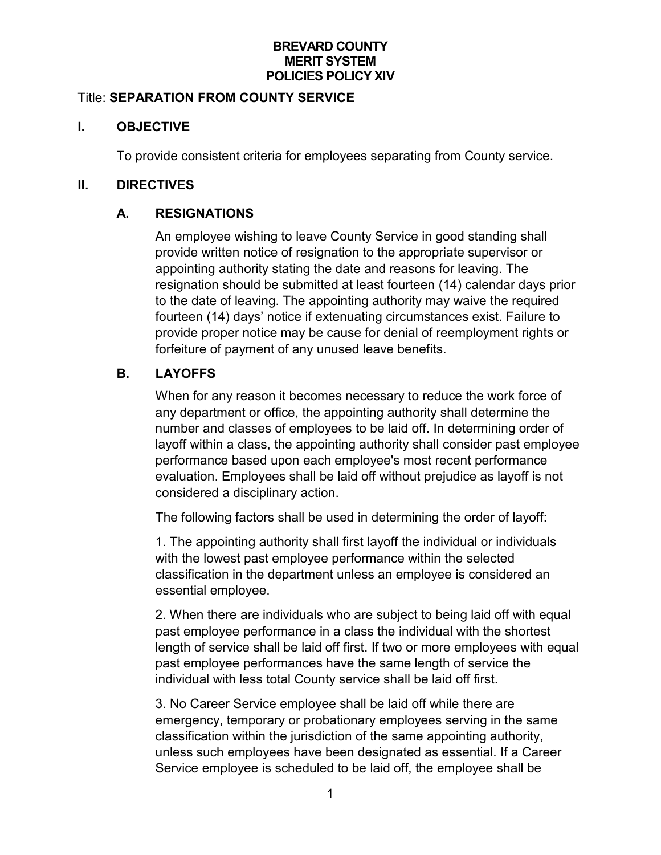### **BREVARD COUNTY MERIT SYSTEM POLICIES POLICY XIV**

#### Title: **SEPARATION FROM COUNTY SERVICE**

### **I. OBJECTIVE**

To provide consistent criteria for employees separating from County service.

### **II. DIRECTIVES**

## **A. RESIGNATIONS**

An employee wishing to leave County Service in good standing shall provide written notice of resignation to the appropriate supervisor or appointing authority stating the date and reasons for leaving. The resignation should be submitted at least fourteen (14) calendar days prior to the date of leaving. The appointing authority may waive the required fourteen (14) days' notice if extenuating circumstances exist. Failure to provide proper notice may be cause for denial of reemployment rights or forfeiture of payment of any unused leave benefits.

# **B. LAYOFFS**

When for any reason it becomes necessary to reduce the work force of any department or office, the appointing authority shall determine the number and classes of employees to be laid off. In determining order of layoff within a class, the appointing authority shall consider past employee performance based upon each employee's most recent performance evaluation. Employees shall be laid off without prejudice as layoff is not considered a disciplinary action.

The following factors shall be used in determining the order of layoff:

1. The appointing authority shall first layoff the individual or individuals with the lowest past employee performance within the selected classification in the department unless an employee is considered an essential employee.

2. When there are individuals who are subject to being laid off with equal past employee performance in a class the individual with the shortest length of service shall be laid off first. If two or more employees with equal past employee performances have the same length of service the individual with less total County service shall be laid off first.

3. No Career Service employee shall be laid off while there are emergency, temporary or probationary employees serving in the same classification within the jurisdiction of the same appointing authority, unless such employees have been designated as essential. If a Career Service employee is scheduled to be laid off, the employee shall be